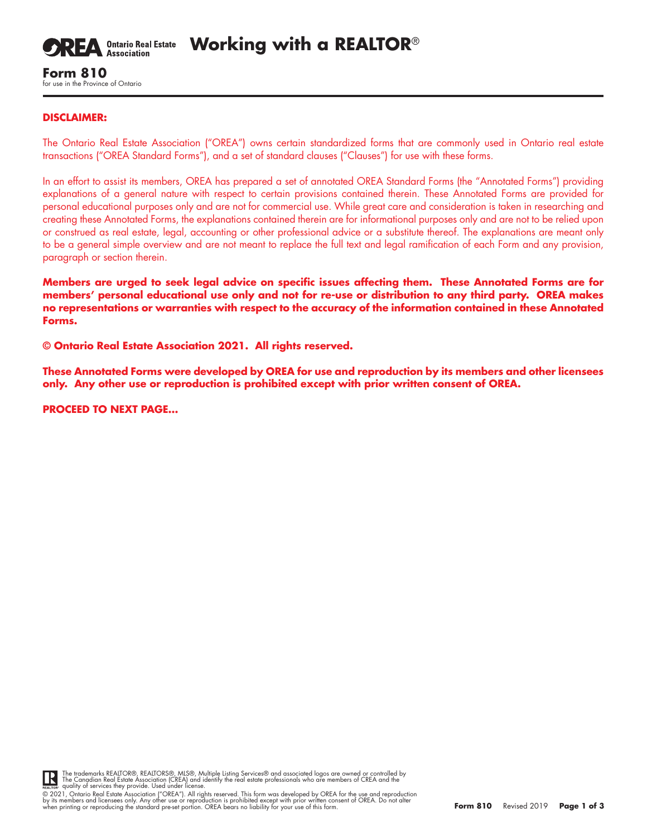

**Working with a REALTOR**®

# **Form 810** for use in the Province of Ontario

## **DISCLAIMER:**

The Ontario Real Estate Association ("OREA") owns certain standardized forms that are commonly used in Ontario real estate transactions ("OREA Standard Forms"), and a set of standard clauses ("Clauses") for use with these forms.

In an effort to assist its members, OREA has prepared a set of annotated OREA Standard Forms (the "Annotated Forms") providing explanations of a general nature with respect to certain provisions contained therein. These Annotated Forms are provided for personal educational purposes only and are not for commercial use. While great care and consideration is taken in researching and creating these Annotated Forms, the explanations contained therein are for informational purposes only and are not to be relied upon or construed as real estate, legal, accounting or other professional advice or a substitute thereof. The explanations are meant only to be a general simple overview and are not meant to replace the full text and legal ramification of each Form and any provision, paragraph or section therein.

**Members are urged to seek legal advice on specific issues affecting them. These Annotated Forms are for members' personal educational use only and not for re-use or distribution to any third party. OREA makes no representations or warranties with respect to the accuracy of the information contained in these Annotated Forms.**

**© Ontario Real Estate Association 2021. All rights reserved.** 

**These Annotated Forms were developed by OREA for use and reproduction by its members and other licensees only. Any other use or reproduction is prohibited except with prior written consent of OREA.**

**PROCEED TO NEXT PAGE…**



The trademarks REALTOR®, REALTORS®, MLS®, Multiple Listing Services® and associated logos are owned or controlled by<br>The Canadian Real Estate Association (CREA) and identify the real estate professionals who are members of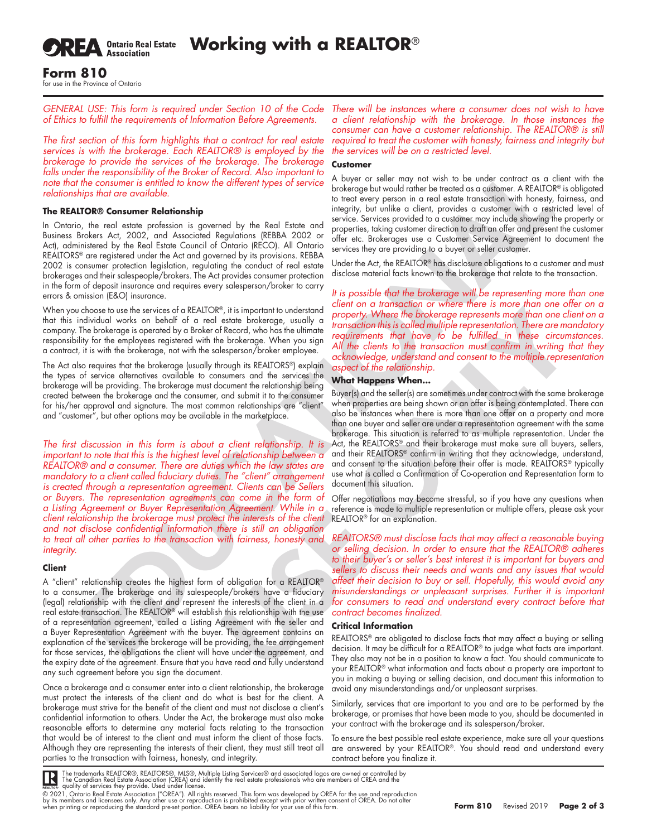**SREA** Ontario Real Estate

**Working with a REALTOR**®

#### **Form 810** for use in the Province of Ontario

*GENERAL USE: This form is required under Section 10 of the Code of Ethics to fulfill the requirements of Information Before Agreements.*

*The first section of this form highlights that a contract for real estate services is with the brokerage. Each REALTOR® is employed by the brokerage to provide the services of the brokerage. The brokerage*  falls under the responsibility of the Broker of Record. Also important to *note that the consumer is entitled to know the different types of service relationships that are available.*

#### **The REALTOR® Consumer Relationship**

In Ontario, the real estate profession is governed by the Real Estate and Business Brokers Act, 2002, and Associated Regulations (REBBA 2002 or Act), administered by the Real Estate Council of Ontario (RECO). All Ontario REALTORS® are registered under the Act and governed by its provisions. REBBA 2002 is consumer protection legislation, regulating the conduct of real estate brokerages and their salespeople/brokers. The Act provides consumer protection in the form of deposit insurance and requires every salesperson/broker to carry errors & omission (E&O) insurance.

When you choose to use the services of a REALTOR®, it is important to understand that this individual works on behalf of a real estate brokerage, usually a company. The brokerage is operated by a Broker of Record, who has the ultimate responsibility for the employees registered with the brokerage. When you sign a contract, it is with the brokerage, not with the salesperson/broker employee.

The Act also requires that the brokerage (usually through its REALTORS®) explain the types of service alternatives available to consumers and the services the brokerage will be providing. The brokerage must document the relationship being created between the brokerage and the consumer, and submit it to the consumer for his/her approval and signature. The most common relationships are "client" and "customer", but other options may be available in the marketplace.

r file inspectable Broker of Record Absorption in Also mental to Also reacted the mappedia and the mappedia and the mappedia and the same of the mappedia and the same of the same of the same of the same of the same of the *The first discussion in this form is about a client relationship. It is important to note that this is the highest level of relationship between a REALTOR® and a consumer. There are duties which the law states are mandatory to a client called fiduciary duties. The "client" arrangement is created through a representation agreement. Clients can be Sellers or Buyers. The representation agreements can come in the form of a Listing Agreement or Buyer Representation Agreement. While in a client relationship the brokerage must protect the interests of the client*  REALTOR® for an explanation. *and not disclose confidential information there is still an obligation to treat all other parties to the transaction with fairness, honesty and REALTORS® must disclose facts that may affect a reasonable buying integrity.*

#### **Client**

A "client" relationship creates the highest form of obligation for a REALTOR® to a consumer. The brokerage and its salespeople/brokers have a fiduciary (legal) relationship with the client and represent the interests of the client in a real estate transaction. The REALTOR® will establish this relationship with the use of a representation agreement, called a Listing Agreement with the seller and a Buyer Representation Agreement with the buyer. The agreement contains an explanation of the services the brokerage will be providing, the fee arrangement for those services, the obligations the client will have under the agreement, and the expiry date of the agreement. Ensure that you have read and fully understand any such agreement before you sign the document.

Once a brokerage and a consumer enter into a client relationship, the brokerage must protect the interests of the client and do what is best for the client. A brokerage must strive for the benefit of the client and must not disclose a client's confidential information to others. Under the Act, the brokerage must also make reasonable efforts to determine any material facts relating to the transaction that would be of interest to the client and must inform the client of those facts. Although they are representing the interests of their client, they must still treat all parties to the transaction with fairness, honesty, and integrity.

*There will be instances where a consumer does not wish to have a client relationship with the brokerage. In those instances the consumer can have a customer relationship. The REALTOR® is still*  required to treat the customer with honesty, fairness and integrity but *the services will be on a restricted level.*

#### **Customer**

A buyer or seller may not wish to be under contract as a client with the brokerage but would rather be treated as a customer. A REALTOR® is obligated to treat every person in a real estate transaction with honesty, fairness, and integrity, but unlike a client, provides a customer with a restricted level of service. Services provided to a customer may include showing the property or properties, taking customer direction to draft an offer and present the customer offer etc. Brokerages use a Customer Service Agreement to document the services they are providing to a buyer or seller customer.

Under the Act, the REALTOR® has disclosure obligations to a customer and must disclose material facts known to the brokerage that relate to the transaction.

*It is possible that the brokerage will be representing more than one client on a transaction or where there is more than one offer on a property. Where the brokerage represents more than one client on a transaction this is called multiple representation. There are mandatory requirements that have to be fulfilled in these circumstances. All the clients to the transaction must confirm in writing that they acknowledge, understand and consent to the multiple representation aspect of the relationship.* 

#### **What Happens When...**

®, it imperator to understand center of the material of the measure of the state brokering energies and the state of the state of the state of the state of the state of the state of the state of the state of the state of t Buyer(s) and the seller(s) are sometimes under contract with the same brokerage when properties are being shown or an offer is being contemplated. There can also be instances when there is more than one offer on a property and more than one buyer and seller are under a representation agreement with the same brokerage. This situation is referred to as multiple representation. Under the Act, the REALTORS® and their brokerage must make sure all buyers, sellers, and their REALTORS® confirm in writing that they acknowledge, understand, and consent to the situation before their offer is made. REALTORS® typically use what is called a Confirmation of Co-operation and Representation form to document this situation.

Offer negotiations may become stressful, so if you have any questions when reference is made to multiple representation or multiple offers, please ask your

*or selling decision. In order to ensure that the REALTOR® adheres to their buyer's or seller's best interest it is important for buyers and sellers to discuss their needs and wants and any issues that would affect their decision to buy or sell. Hopefully, this would avoid any misunderstandings or unpleasant surprises. Further it is important for consumers to read and understand every contract before that contract becomes finalized.* 

## **Critical Information**

REALTORS® are obligated to disclose facts that may affect a buying or selling decision. It may be difficult for a REALTOR® to judge what facts are important. They also may not be in a position to know a fact. You should communicate to your REALTOR® what information and facts about a property are important to you in making a buying or selling decision, and document this information to avoid any misunderstandings and/or unpleasant surprises.

Similarly, services that are important to you and are to be performed by the brokerage, or promises that have been made to you, should be documented in your contract with the brokerage and its salesperson/broker.

To ensure the best possible real estate experience, make sure all your questions are answered by your REALTOR®. You should read and understand every contract before you finalize it.

**IR** 

The trademarks REALTOR®, REALTORS®, MLS®, Multiple Listing Services® and associated logos are owned or controlled by<br>The Canadian Real Estate Association (CREA) and identify the real estate professionals who are members of

© 2021, Ontario Real Estate Association ("OREA"). All rights reserved. This form was developed by OREA for the use and reproduction<br>by its members and licensees only. Any other use or reproduction is prohibited except with